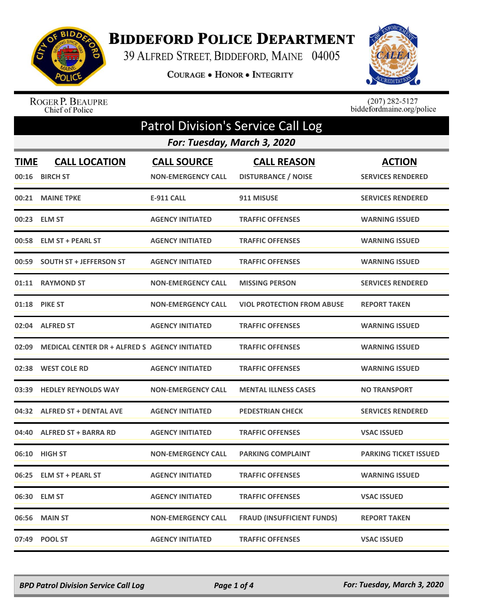

## **BIDDEFORD POLICE DEPARTMENT**

39 ALFRED STREET, BIDDEFORD, MAINE 04005

COURAGE . HONOR . INTEGRITY



ROGER P. BEAUPRE<br>Chief of Police

 $(207)$  282-5127 biddefordmaine.org/police

| <b>Patrol Division's Service Call Log</b> |                                                      |                           |                                   |                              |  |  |
|-------------------------------------------|------------------------------------------------------|---------------------------|-----------------------------------|------------------------------|--|--|
|                                           | For: Tuesday, March 3, 2020                          |                           |                                   |                              |  |  |
| <b>TIME</b>                               | <b>CALL LOCATION</b>                                 | <b>CALL SOURCE</b>        | <b>CALL REASON</b>                | <b>ACTION</b>                |  |  |
|                                           | 00:16 BIRCH ST                                       | <b>NON-EMERGENCY CALL</b> | <b>DISTURBANCE / NOISE</b>        | <b>SERVICES RENDERED</b>     |  |  |
|                                           | 00:21 MAINE TPKE                                     | <b>E-911 CALL</b>         | 911 MISUSE                        | <b>SERVICES RENDERED</b>     |  |  |
|                                           | 00:23 ELM ST                                         | <b>AGENCY INITIATED</b>   | <b>TRAFFIC OFFENSES</b>           | <b>WARNING ISSUED</b>        |  |  |
|                                           | 00:58 ELM ST + PEARL ST                              | <b>AGENCY INITIATED</b>   | <b>TRAFFIC OFFENSES</b>           | <b>WARNING ISSUED</b>        |  |  |
|                                           | 00:59 SOUTH ST + JEFFERSON ST                        | <b>AGENCY INITIATED</b>   | <b>TRAFFIC OFFENSES</b>           | <b>WARNING ISSUED</b>        |  |  |
|                                           | 01:11 RAYMOND ST                                     | <b>NON-EMERGENCY CALL</b> | <b>MISSING PERSON</b>             | <b>SERVICES RENDERED</b>     |  |  |
| 01:18                                     | <b>PIKE ST</b>                                       | <b>NON-EMERGENCY CALL</b> | <b>VIOL PROTECTION FROM ABUSE</b> | <b>REPORT TAKEN</b>          |  |  |
|                                           | 02:04 ALFRED ST                                      | <b>AGENCY INITIATED</b>   | <b>TRAFFIC OFFENSES</b>           | <b>WARNING ISSUED</b>        |  |  |
| 02:09                                     | <b>MEDICAL CENTER DR + ALFRED S AGENCY INITIATED</b> |                           | <b>TRAFFIC OFFENSES</b>           | <b>WARNING ISSUED</b>        |  |  |
| 02:38                                     | <b>WEST COLE RD</b>                                  | <b>AGENCY INITIATED</b>   | <b>TRAFFIC OFFENSES</b>           | <b>WARNING ISSUED</b>        |  |  |
| 03:39                                     | <b>HEDLEY REYNOLDS WAY</b>                           | <b>NON-EMERGENCY CALL</b> | <b>MENTAL ILLNESS CASES</b>       | <b>NO TRANSPORT</b>          |  |  |
|                                           | 04:32 ALFRED ST + DENTAL AVE                         | <b>AGENCY INITIATED</b>   | <b>PEDESTRIAN CHECK</b>           | <b>SERVICES RENDERED</b>     |  |  |
|                                           | 04:40 ALFRED ST + BARRA RD                           | <b>AGENCY INITIATED</b>   | <b>TRAFFIC OFFENSES</b>           | <b>VSAC ISSUED</b>           |  |  |
| 06:10                                     | <b>HIGH ST</b>                                       | <b>NON-EMERGENCY CALL</b> | <b>PARKING COMPLAINT</b>          | <b>PARKING TICKET ISSUED</b> |  |  |
|                                           | 06:25 ELM ST + PEARL ST                              | <b>AGENCY INITIATED</b>   | <b>TRAFFIC OFFENSES</b>           | <b>WARNING ISSUED</b>        |  |  |
|                                           | 06:30 ELM ST                                         | <b>AGENCY INITIATED</b>   | <b>TRAFFIC OFFENSES</b>           | <b>VSAC ISSUED</b>           |  |  |
|                                           | 06:56 MAIN ST                                        | <b>NON-EMERGENCY CALL</b> | <b>FRAUD (INSUFFICIENT FUNDS)</b> | <b>REPORT TAKEN</b>          |  |  |
|                                           | 07:49 POOL ST                                        | <b>AGENCY INITIATED</b>   | <b>TRAFFIC OFFENSES</b>           | <b>VSAC ISSUED</b>           |  |  |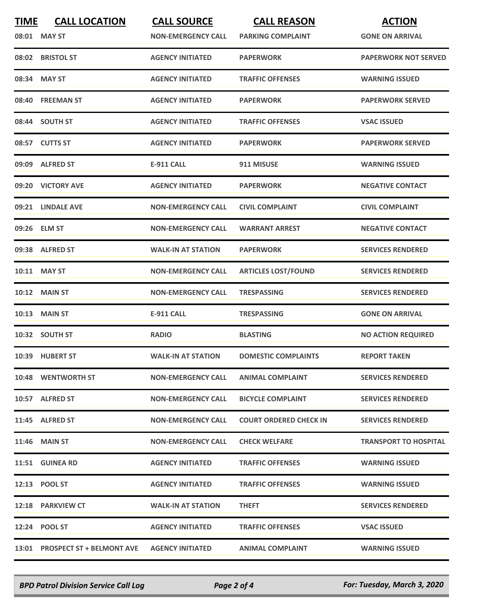| <b>TIME</b> | <b>CALL LOCATION</b><br>08:01 MAY ST | <b>CALL SOURCE</b><br><b>NON-EMERGENCY CALL</b> | <b>CALL REASON</b><br><b>PARKING COMPLAINT</b> | <b>ACTION</b><br><b>GONE ON ARRIVAL</b> |
|-------------|--------------------------------------|-------------------------------------------------|------------------------------------------------|-----------------------------------------|
|             | 08:02 BRISTOL ST                     | <b>AGENCY INITIATED</b>                         | <b>PAPERWORK</b>                               | <b>PAPERWORK NOT SERVED</b>             |
|             | 08:34 MAY ST                         | <b>AGENCY INITIATED</b>                         | <b>TRAFFIC OFFENSES</b>                        | <b>WARNING ISSUED</b>                   |
|             | 08:40 FREEMAN ST                     | <b>AGENCY INITIATED</b>                         | <b>PAPERWORK</b>                               | <b>PAPERWORK SERVED</b>                 |
|             | 08:44 SOUTH ST                       | <b>AGENCY INITIATED</b>                         | <b>TRAFFIC OFFENSES</b>                        | <b>VSAC ISSUED</b>                      |
|             | 08:57 CUTTS ST                       | <b>AGENCY INITIATED</b>                         | <b>PAPERWORK</b>                               | <b>PAPERWORK SERVED</b>                 |
|             | 09:09 ALFRED ST                      | <b>E-911 CALL</b>                               | 911 MISUSE                                     | <b>WARNING ISSUED</b>                   |
|             | 09:20 VICTORY AVE                    | <b>AGENCY INITIATED</b>                         | <b>PAPERWORK</b>                               | <b>NEGATIVE CONTACT</b>                 |
|             | 09:21 LINDALE AVE                    | <b>NON-EMERGENCY CALL</b>                       | <b>CIVIL COMPLAINT</b>                         | <b>CIVIL COMPLAINT</b>                  |
|             | 09:26 ELM ST                         | <b>NON-EMERGENCY CALL</b>                       | <b>WARRANT ARREST</b>                          | <b>NEGATIVE CONTACT</b>                 |
|             | 09:38 ALFRED ST                      | <b>WALK-IN AT STATION</b>                       | <b>PAPERWORK</b>                               | <b>SERVICES RENDERED</b>                |
|             | 10:11 MAY ST                         | <b>NON-EMERGENCY CALL</b>                       | <b>ARTICLES LOST/FOUND</b>                     | <b>SERVICES RENDERED</b>                |
|             | <b>10:12 MAIN ST</b>                 | <b>NON-EMERGENCY CALL</b>                       | <b>TRESPASSING</b>                             | <b>SERVICES RENDERED</b>                |
| 10:13       | <b>MAIN ST</b>                       | <b>E-911 CALL</b>                               | <b>TRESPASSING</b>                             | <b>GONE ON ARRIVAL</b>                  |
|             | 10:32 SOUTH ST                       | <b>RADIO</b>                                    | <b>BLASTING</b>                                | <b>NO ACTION REQUIRED</b>               |
|             | 10:39 HUBERT ST                      | <b>WALK-IN AT STATION</b>                       | <b>DOMESTIC COMPLAINTS</b>                     | <b>REPORT TAKEN</b>                     |
|             | 10:48 WENTWORTH ST                   | <b>NON-EMERGENCY CALL</b>                       | <b>ANIMAL COMPLAINT</b>                        | <b>SERVICES RENDERED</b>                |
|             | 10:57 ALFRED ST                      | <b>NON-EMERGENCY CALL</b>                       | <b>BICYCLE COMPLAINT</b>                       | <b>SERVICES RENDERED</b>                |
|             | 11:45 ALFRED ST                      | <b>NON-EMERGENCY CALL</b>                       | <b>COURT ORDERED CHECK IN</b>                  | <b>SERVICES RENDERED</b>                |
|             | <b>11:46 MAIN ST</b>                 | <b>NON-EMERGENCY CALL</b>                       | <b>CHECK WELFARE</b>                           | <b>TRANSPORT TO HOSPITAL</b>            |
|             | 11:51 GUINEA RD                      | <b>AGENCY INITIATED</b>                         | <b>TRAFFIC OFFENSES</b>                        | <b>WARNING ISSUED</b>                   |
|             | 12:13 POOL ST                        | <b>AGENCY INITIATED</b>                         | <b>TRAFFIC OFFENSES</b>                        | <b>WARNING ISSUED</b>                   |
|             | 12:18 PARKVIEW CT                    | <b>WALK-IN AT STATION</b>                       | <b>THEFT</b>                                   | <b>SERVICES RENDERED</b>                |
|             | 12:24 POOL ST                        | <b>AGENCY INITIATED</b>                         | <b>TRAFFIC OFFENSES</b>                        | <b>VSAC ISSUED</b>                      |
|             | 13:01 PROSPECT ST + BELMONT AVE      | <b>AGENCY INITIATED</b>                         | <b>ANIMAL COMPLAINT</b>                        | <b>WARNING ISSUED</b>                   |

*BPD Patrol Division Service Call Log Page 2 of 4 For: Tuesday, March 3, 2020*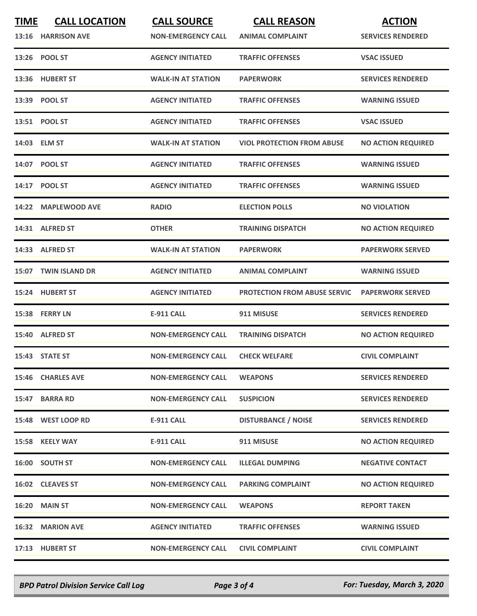| <b>TIME</b> | <b>CALL LOCATION</b><br>13:16 HARRISON AVE | <b>CALL SOURCE</b><br><b>NON-EMERGENCY CALL</b> | <b>CALL REASON</b><br><b>ANIMAL COMPLAINT</b> | <b>ACTION</b><br><b>SERVICES RENDERED</b> |
|-------------|--------------------------------------------|-------------------------------------------------|-----------------------------------------------|-------------------------------------------|
|             | 13:26 POOL ST                              | <b>AGENCY INITIATED</b>                         | <b>TRAFFIC OFFENSES</b>                       | <b>VSAC ISSUED</b>                        |
|             | 13:36 HUBERT ST                            | <b>WALK-IN AT STATION</b>                       | <b>PAPERWORK</b>                              | <b>SERVICES RENDERED</b>                  |
|             | 13:39 POOL ST                              | <b>AGENCY INITIATED</b>                         | <b>TRAFFIC OFFENSES</b>                       | <b>WARNING ISSUED</b>                     |
|             | 13:51 POOL ST                              | <b>AGENCY INITIATED</b>                         | <b>TRAFFIC OFFENSES</b>                       | <b>VSAC ISSUED</b>                        |
|             | 14:03 ELM ST                               | <b>WALK-IN AT STATION</b>                       | <b>VIOL PROTECTION FROM ABUSE</b>             | <b>NO ACTION REQUIRED</b>                 |
|             | 14:07 POOL ST                              | <b>AGENCY INITIATED</b>                         | <b>TRAFFIC OFFENSES</b>                       | <b>WARNING ISSUED</b>                     |
|             | 14:17 POOL ST                              | <b>AGENCY INITIATED</b>                         | <b>TRAFFIC OFFENSES</b>                       | <b>WARNING ISSUED</b>                     |
|             | 14:22 MAPLEWOOD AVE                        | <b>RADIO</b>                                    | <b>ELECTION POLLS</b>                         | <b>NO VIOLATION</b>                       |
|             | 14:31 ALFRED ST                            | <b>OTHER</b>                                    | <b>TRAINING DISPATCH</b>                      | <b>NO ACTION REQUIRED</b>                 |
|             | 14:33 ALFRED ST                            | <b>WALK-IN AT STATION</b>                       | <b>PAPERWORK</b>                              | <b>PAPERWORK SERVED</b>                   |
|             | 15:07 TWIN ISLAND DR                       | <b>AGENCY INITIATED</b>                         | <b>ANIMAL COMPLAINT</b>                       | <b>WARNING ISSUED</b>                     |
|             | 15:24 HUBERT ST                            | <b>AGENCY INITIATED</b>                         | <b>PROTECTION FROM ABUSE SERVIC</b>           | <b>PAPERWORK SERVED</b>                   |
|             | 15:38 FERRY LN                             | <b>E-911 CALL</b>                               | 911 MISUSE                                    | <b>SERVICES RENDERED</b>                  |
|             | 15:40 ALFRED ST                            | <b>NON-EMERGENCY CALL</b>                       | <b>TRAINING DISPATCH</b>                      | <b>NO ACTION REQUIRED</b>                 |
|             | 15:43 STATE ST                             | <b>NON-EMERGENCY CALL</b>                       | <b>CHECK WELFARE</b>                          | <b>CIVIL COMPLAINT</b>                    |
|             | 15:46 CHARLES AVE                          | <b>NON-EMERGENCY CALL</b>                       | <b>WEAPONS</b>                                | <b>SERVICES RENDERED</b>                  |
|             | 15:47 BARRA RD                             | <b>NON-EMERGENCY CALL</b>                       | <b>SUSPICION</b>                              | <b>SERVICES RENDERED</b>                  |
|             | 15:48 WEST LOOP RD                         | <b>E-911 CALL</b>                               | <b>DISTURBANCE / NOISE</b>                    | <b>SERVICES RENDERED</b>                  |
|             | 15:58 KEELY WAY                            | E-911 CALL                                      | 911 MISUSE                                    | <b>NO ACTION REQUIRED</b>                 |
|             | 16:00 SOUTH ST                             | <b>NON-EMERGENCY CALL</b>                       | <b>ILLEGAL DUMPING</b>                        | <b>NEGATIVE CONTACT</b>                   |
|             | 16:02 CLEAVES ST                           | <b>NON-EMERGENCY CALL</b>                       | <b>PARKING COMPLAINT</b>                      | <b>NO ACTION REQUIRED</b>                 |
|             | 16:20 MAIN ST                              | <b>NON-EMERGENCY CALL</b>                       | <b>WEAPONS</b>                                | <b>REPORT TAKEN</b>                       |
|             | 16:32 MARION AVE                           | <b>AGENCY INITIATED</b>                         | <b>TRAFFIC OFFENSES</b>                       | <b>WARNING ISSUED</b>                     |
|             | 17:13 HUBERT ST                            | <b>NON-EMERGENCY CALL</b>                       | <b>CIVIL COMPLAINT</b>                        | <b>CIVIL COMPLAINT</b>                    |

*BPD Patrol Division Service Call Log Page 3 of 4 For: Tuesday, March 3, 2020*